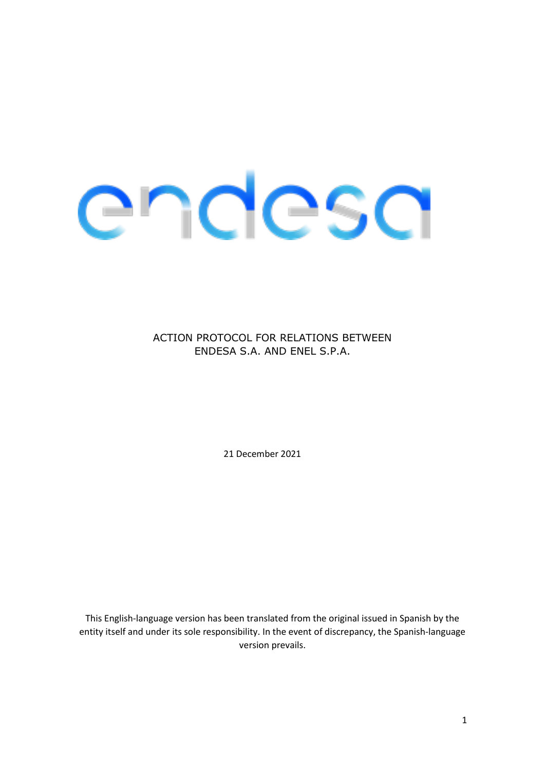# endesa

ACTION PROTOCOL FOR RELATIONS BETWEEN ENDESA S.A. AND ENEL S.P.A.

21 December 2021

This English-language version has been translated from the original issued in Spanish by the entity itself and under its sole responsibility. In the event of discrepancy, the Spanish-language version prevails.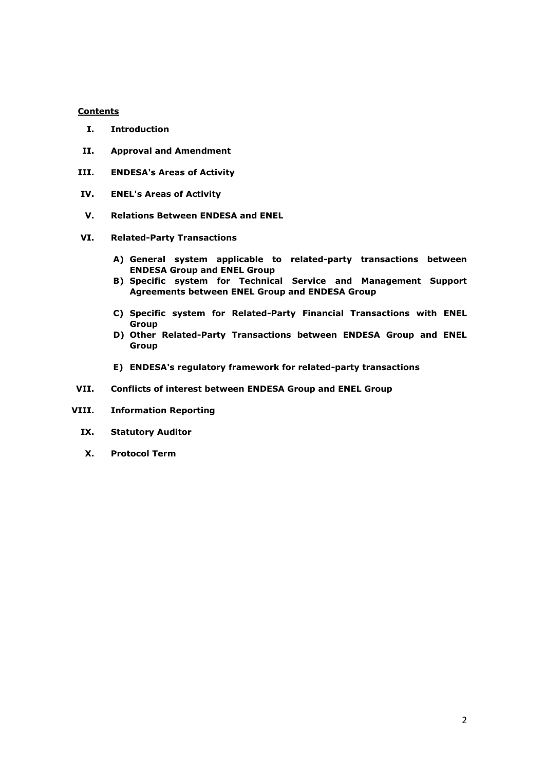#### **Contents**

- **I. Introduction**
- **II. Approval and Amendment**
- **III. ENDESA's Areas of Activity**
- **IV. ENEL's Areas of Activity**
- **V. Relations Between ENDESA and ENEL**
- **VI. Related-Party Transactions**
	- **A) General system applicable to related-party transactions between ENDESA Group and ENEL Group**
	- **B) Specific system for Technical Service and Management Support Agreements between ENEL Group and ENDESA Group**
	- **C) Specific system for Related-Party Financial Transactions with ENEL Group**
	- **D) Other Related-Party Transactions between ENDESA Group and ENEL Group**
	- **E) ENDESA's regulatory framework for related-party transactions**
- **VII. Conflicts of interest between ENDESA Group and ENEL Group**
- **VIII. Information Reporting**
	- **IX. Statutory Auditor**
	- **X. Protocol Term**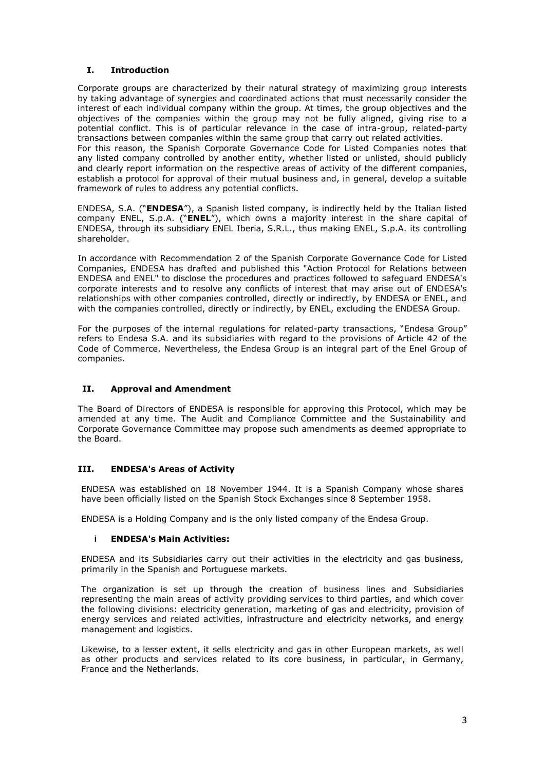# **I. Introduction**

Corporate groups are characterized by their natural strategy of maximizing group interests by taking advantage of synergies and coordinated actions that must necessarily consider the interest of each individual company within the group. At times, the group objectives and the objectives of the companies within the group may not be fully aligned, giving rise to a potential conflict. This is of particular relevance in the case of intra-group, related-party transactions between companies within the same group that carry out related activities.

For this reason, the Spanish Corporate Governance Code for Listed Companies notes that any listed company controlled by another entity, whether listed or unlisted, should publicly and clearly report information on the respective areas of activity of the different companies, establish a protocol for approval of their mutual business and, in general, develop a suitable framework of rules to address any potential conflicts.

ENDESA, S.A. ("**ENDESA**"), a Spanish listed company, is indirectly held by the Italian listed company ENEL, S.p.A. ("**ENEL**"), which owns a majority interest in the share capital of ENDESA, through its subsidiary ENEL Iberia, S.R.L., thus making ENEL, S.p.A. its controlling shareholder.

In accordance with Recommendation 2 of the Spanish Corporate Governance Code for Listed Companies, ENDESA has drafted and published this "Action Protocol for Relations between ENDESA and ENEL" to disclose the procedures and practices followed to safeguard ENDESA's corporate interests and to resolve any conflicts of interest that may arise out of ENDESA's relationships with other companies controlled, directly or indirectly, by ENDESA or ENEL, and with the companies controlled, directly or indirectly, by ENEL, excluding the ENDESA Group.

For the purposes of the internal regulations for related-party transactions, "Endesa Group" refers to Endesa S.A. and its subsidiaries with regard to the provisions of Article 42 of the Code of Commerce. Nevertheless, the Endesa Group is an integral part of the Enel Group of companies.

# **II. Approval and Amendment**

The Board of Directors of ENDESA is responsible for approving this Protocol, which may be amended at any time. The Audit and Compliance Committee and the Sustainability and Corporate Governance Committee may propose such amendments as deemed appropriate to the Board.

# **III. ENDESA's Areas of Activity**

ENDESA was established on 18 November 1944. It is a Spanish Company whose shares have been officially listed on the Spanish Stock Exchanges since 8 September 1958.

ENDESA is a Holding Company and is the only listed company of the Endesa Group.

# **i ENDESA's Main Activities:**

ENDESA and its Subsidiaries carry out their activities in the electricity and gas business, primarily in the Spanish and Portuguese markets.

The organization is set up through the creation of business lines and Subsidiaries representing the main areas of activity providing services to third parties, and which cover the following divisions: electricity generation, marketing of gas and electricity, provision of energy services and related activities, infrastructure and electricity networks, and energy management and logistics.

Likewise, to a lesser extent, it sells electricity and gas in other European markets, as well as other products and services related to its core business, in particular, in Germany, France and the Netherlands.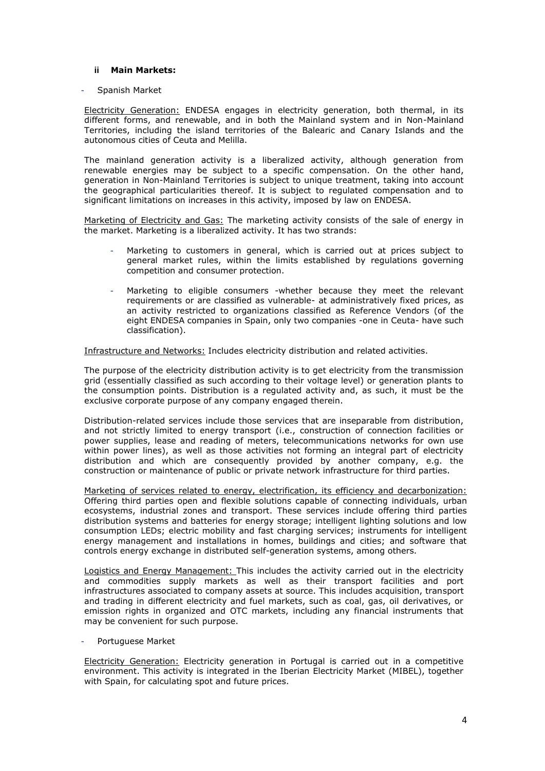## **ii Main Markets:**

#### - Spanish Market

Electricity Generation: ENDESA engages in electricity generation, both thermal, in its different forms, and renewable, and in both the Mainland system and in Non-Mainland Territories, including the island territories of the Balearic and Canary Islands and the autonomous cities of Ceuta and Melilla.

The mainland generation activity is a liberalized activity, although generation from renewable energies may be subject to a specific compensation. On the other hand, generation in Non-Mainland Territories is subject to unique treatment, taking into account the geographical particularities thereof. It is subject to regulated compensation and to significant limitations on increases in this activity, imposed by law on ENDESA.

Marketing of Electricity and Gas: The marketing activity consists of the sale of energy in the market. Marketing is a liberalized activity. It has two strands:

- Marketing to customers in general, which is carried out at prices subject to general market rules, within the limits established by regulations governing competition and consumer protection.
- Marketing to eligible consumers -whether because they meet the relevant requirements or are classified as vulnerable- at administratively fixed prices, as an activity restricted to organizations classified as Reference Vendors (of the eight ENDESA companies in Spain, only two companies -one in Ceuta- have such classification).

Infrastructure and Networks: Includes electricity distribution and related activities.

The purpose of the electricity distribution activity is to get electricity from the transmission grid (essentially classified as such according to their voltage level) or generation plants to the consumption points. Distribution is a regulated activity and, as such, it must be the exclusive corporate purpose of any company engaged therein.

Distribution-related services include those services that are inseparable from distribution, and not strictly limited to energy transport (i.e., construction of connection facilities or power supplies, lease and reading of meters, telecommunications networks for own use within power lines), as well as those activities not forming an integral part of electricity distribution and which are consequently provided by another company, e.g. the construction or maintenance of public or private network infrastructure for third parties.

Marketing of services related to energy, electrification, its efficiency and decarbonization: Offering third parties open and flexible solutions capable of connecting individuals, urban ecosystems, industrial zones and transport. These services include offering third parties distribution systems and batteries for energy storage; intelligent lighting solutions and low consumption LEDs; electric mobility and fast charging services; instruments for intelligent energy management and installations in homes, buildings and cities; and software that controls energy exchange in distributed self-generation systems, among others.

Logistics and Energy Management: This includes the activity carried out in the electricity and commodities supply markets as well as their transport facilities and port infrastructures associated to company assets at source. This includes acquisition, transport and trading in different electricity and fuel markets, such as coal, gas, oil derivatives, or emission rights in organized and OTC markets, including any financial instruments that may be convenient for such purpose.

Portuguese Market

Electricity Generation: Electricity generation in Portugal is carried out in a competitive environment. This activity is integrated in the Iberian Electricity Market (MIBEL), together with Spain, for calculating spot and future prices.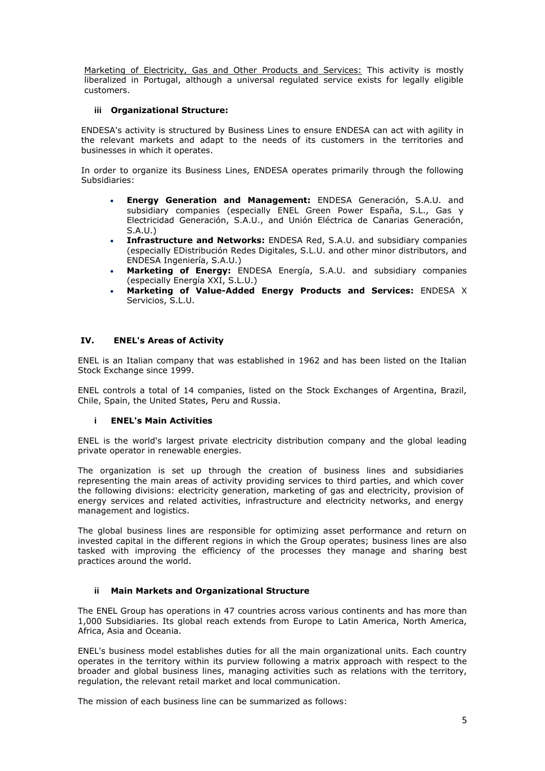Marketing of Electricity, Gas and Other Products and Services: This activity is mostly liberalized in Portugal, although a universal regulated service exists for legally eligible customers.

## **iii Organizational Structure:**

ENDESA's activity is structured by Business Lines to ensure ENDESA can act with agility in the relevant markets and adapt to the needs of its customers in the territories and businesses in which it operates.

In order to organize its Business Lines, ENDESA operates primarily through the following Subsidiaries:

- **Energy Generation and Management:** ENDESA Generación, S.A.U. and subsidiary companies (especially ENEL Green Power España, S.L., Gas y Electricidad Generación, S.A.U., and Unión Eléctrica de Canarias Generación, S.A.U.)
- **Infrastructure and Networks:** ENDESA Red, S.A.U. and subsidiary companies (especially EDistribución Redes Digitales, S.L.U. and other minor distributors, and ENDESA Ingeniería, S.A.U.)
- **Marketing of Energy:** ENDESA Energía, S.A.U. and subsidiary companies (especially Energía XXI, S.L.U.)
- **Marketing of Value-Added Energy Products and Services:** ENDESA X Servicios, S.L.U.

#### **IV. ENEL's Areas of Activity**

ENEL is an Italian company that was established in 1962 and has been listed on the Italian Stock Exchange since 1999.

ENEL controls a total of 14 companies, listed on the Stock Exchanges of Argentina, Brazil, Chile, Spain, the United States, Peru and Russia.

#### **i ENEL's Main Activities**

ENEL is the world's largest private electricity distribution company and the global leading private operator in renewable energies.

The organization is set up through the creation of business lines and subsidiaries representing the main areas of activity providing services to third parties, and which cover the following divisions: electricity generation, marketing of gas and electricity, provision of energy services and related activities, infrastructure and electricity networks, and energy management and logistics.

The global business lines are responsible for optimizing asset performance and return on invested capital in the different regions in which the Group operates; business lines are also tasked with improving the efficiency of the processes they manage and sharing best practices around the world.

#### **ii Main Markets and Organizational Structure**

The ENEL Group has operations in 47 countries across various continents and has more than 1,000 Subsidiaries. Its global reach extends from Europe to Latin America, North America, Africa, Asia and Oceania.

ENEL's business model establishes duties for all the main organizational units. Each country operates in the territory within its purview following a matrix approach with respect to the broader and global business lines, managing activities such as relations with the territory, regulation, the relevant retail market and local communication.

The mission of each business line can be summarized as follows: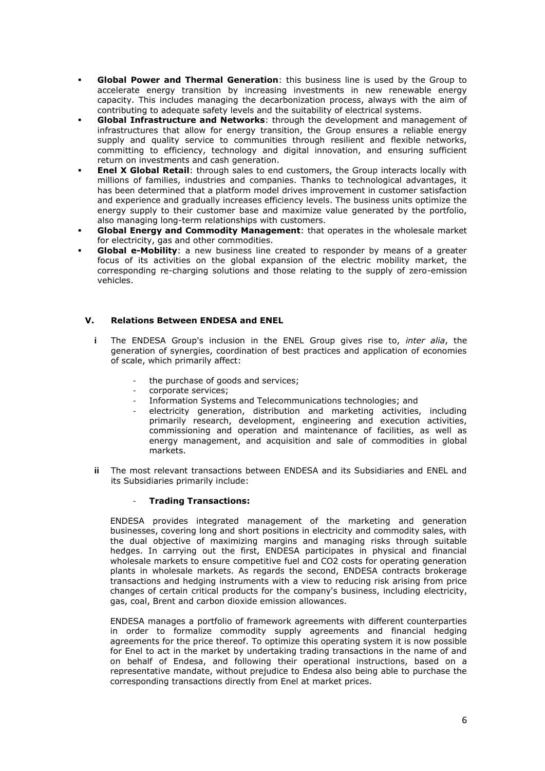- **Global Power and Thermal Generation:** this business line is used by the Group to accelerate energy transition by increasing investments in new renewable energy capacity. This includes managing the decarbonization process, always with the aim of contributing to adequate safety levels and the suitability of electrical systems.
- **Global Infrastructure and Networks:** through the development and management of infrastructures that allow for energy transition, the Group ensures a reliable energy supply and quality service to communities through resilient and flexible networks, committing to efficiency, technology and digital innovation, and ensuring sufficient return on investments and cash generation.
- **Enel X Global Retail:** through sales to end customers, the Group interacts locally with millions of families, industries and companies. Thanks to technological advantages, it has been determined that a platform model drives improvement in customer satisfaction and experience and gradually increases efficiency levels. The business units optimize the energy supply to their customer base and maximize value generated by the portfolio, also managing long-term relationships with customers.
- **Global Energy and Commodity Management:** that operates in the wholesale market for electricity, gas and other commodities.
- **Global e-Mobility**: a new business line created to responder by means of a greater focus of its activities on the global expansion of the electric mobility market, the corresponding re-charging solutions and those relating to the supply of zero-emission vehicles.

# **V. Relations Between ENDESA and ENEL**

- **i** The ENDESA Group's inclusion in the ENEL Group gives rise to, *inter alia*, the generation of synergies, coordination of best practices and application of economies of scale, which primarily affect:
	- the purchase of goods and services;
	- corporate services;
	- Information Systems and Telecommunications technologies; and
	- electricity generation, distribution and marketing activities, including primarily research, development, engineering and execution activities, commissioning and operation and maintenance of facilities, as well as energy management, and acquisition and sale of commodities in global markets.
- **ii** The most relevant transactions between ENDESA and its Subsidiaries and ENEL and its Subsidiaries primarily include:

#### - **Trading Transactions:**

ENDESA provides integrated management of the marketing and generation businesses, covering long and short positions in electricity and commodity sales, with the dual objective of maximizing margins and managing risks through suitable hedges. In carrying out the first, ENDESA participates in physical and financial wholesale markets to ensure competitive fuel and CO2 costs for operating generation plants in wholesale markets. As regards the second, ENDESA contracts brokerage transactions and hedging instruments with a view to reducing risk arising from price changes of certain critical products for the company's business, including electricity, gas, coal, Brent and carbon dioxide emission allowances.

ENDESA manages a portfolio of framework agreements with different counterparties in order to formalize commodity supply agreements and financial hedging agreements for the price thereof. To optimize this operating system it is now possible for Enel to act in the market by undertaking trading transactions in the name of and on behalf of Endesa, and following their operational instructions, based on a representative mandate, without prejudice to Endesa also being able to purchase the corresponding transactions directly from Enel at market prices.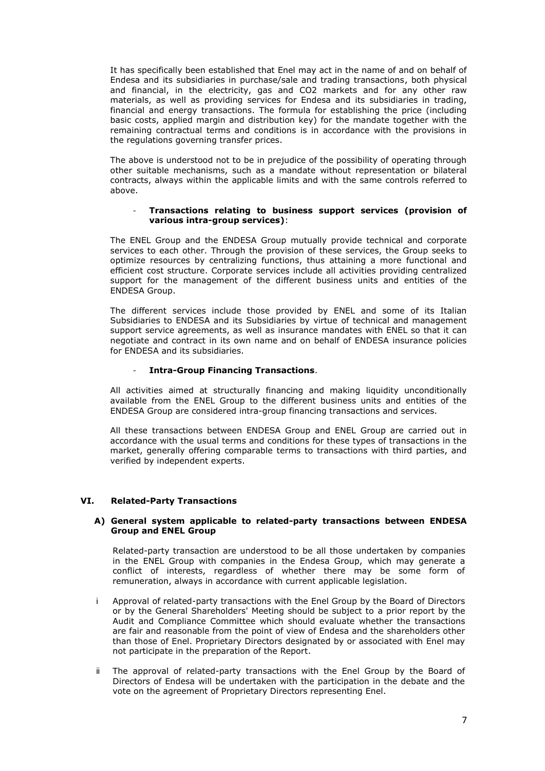It has specifically been established that Enel may act in the name of and on behalf of Endesa and its subsidiaries in purchase/sale and trading transactions, both physical and financial, in the electricity, gas and CO2 markets and for any other raw materials, as well as providing services for Endesa and its subsidiaries in trading, financial and energy transactions. The formula for establishing the price (including basic costs, applied margin and distribution key) for the mandate together with the remaining contractual terms and conditions is in accordance with the provisions in the regulations governing transfer prices.

The above is understood not to be in prejudice of the possibility of operating through other suitable mechanisms, such as a mandate without representation or bilateral contracts, always within the applicable limits and with the same controls referred to above.

#### - **Transactions relating to business support services (provision of various intra-group services)**:

The ENEL Group and the ENDESA Group mutually provide technical and corporate services to each other. Through the provision of these services, the Group seeks to optimize resources by centralizing functions, thus attaining a more functional and efficient cost structure. Corporate services include all activities providing centralized support for the management of the different business units and entities of the ENDESA Group.

The different services include those provided by ENEL and some of its Italian Subsidiaries to ENDESA and its Subsidiaries by virtue of technical and management support service agreements, as well as insurance mandates with ENEL so that it can negotiate and contract in its own name and on behalf of ENDESA insurance policies for ENDESA and its subsidiaries.

#### - **Intra-Group Financing Transactions**.

All activities aimed at structurally financing and making liquidity unconditionally available from the ENEL Group to the different business units and entities of the ENDESA Group are considered intra-group financing transactions and services.

All these transactions between ENDESA Group and ENEL Group are carried out in accordance with the usual terms and conditions for these types of transactions in the market, generally offering comparable terms to transactions with third parties, and verified by independent experts.

# **VI. Related-Party Transactions**

#### **A) General system applicable to related-party transactions between ENDESA Group and ENEL Group**

Related-party transaction are understood to be all those undertaken by companies in the ENEL Group with companies in the Endesa Group, which may generate a conflict of interests, regardless of whether there may be some form of remuneration, always in accordance with current applicable legislation.

- i Approval of related-party transactions with the Enel Group by the Board of Directors or by the General Shareholders' Meeting should be subject to a prior report by the Audit and Compliance Committee which should evaluate whether the transactions are fair and reasonable from the point of view of Endesa and the shareholders other than those of Enel. Proprietary Directors designated by or associated with Enel may not participate in the preparation of the Report.
- ii The approval of related-party transactions with the Enel Group by the Board of Directors of Endesa will be undertaken with the participation in the debate and the vote on the agreement of Proprietary Directors representing Enel.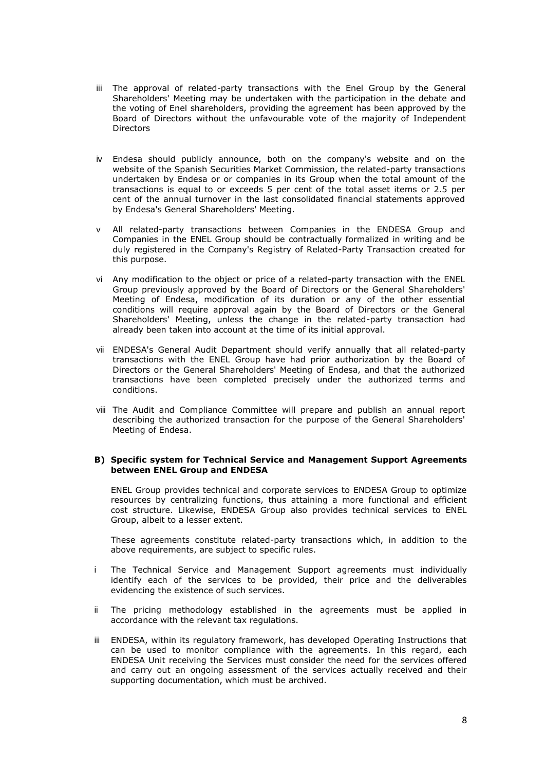- iii The approval of related-party transactions with the Enel Group by the General Shareholders' Meeting may be undertaken with the participation in the debate and the voting of Enel shareholders, providing the agreement has been approved by the Board of Directors without the unfavourable vote of the majority of Independent **Directors**
- iv Endesa should publicly announce, both on the company's website and on the website of the Spanish Securities Market Commission, the related-party transactions undertaken by Endesa or or companies in its Group when the total amount of the transactions is equal to or exceeds 5 per cent of the total asset items or 2.5 per cent of the annual turnover in the last consolidated financial statements approved by Endesa's General Shareholders' Meeting.
- v All related-party transactions between Companies in the ENDESA Group and Companies in the ENEL Group should be contractually formalized in writing and be duly registered in the Company's Registry of Related-Party Transaction created for this purpose.
- vi Any modification to the object or price of a related-party transaction with the ENEL Group previously approved by the Board of Directors or the General Shareholders' Meeting of Endesa, modification of its duration or any of the other essential conditions will require approval again by the Board of Directors or the General Shareholders' Meeting, unless the change in the related-party transaction had already been taken into account at the time of its initial approval.
- vii ENDESA's General Audit Department should verify annually that all related-party transactions with the ENEL Group have had prior authorization by the Board of Directors or the General Shareholders' Meeting of Endesa, and that the authorized transactions have been completed precisely under the authorized terms and conditions.
- viii The Audit and Compliance Committee will prepare and publish an annual report describing the authorized transaction for the purpose of the General Shareholders' Meeting of Endesa.

#### **B) Specific system for Technical Service and Management Support Agreements between ENEL Group and ENDESA**

ENEL Group provides technical and corporate services to ENDESA Group to optimize resources by centralizing functions, thus attaining a more functional and efficient cost structure. Likewise, ENDESA Group also provides technical services to ENEL Group, albeit to a lesser extent.

These agreements constitute related-party transactions which, in addition to the above requirements, are subject to specific rules.

- i The Technical Service and Management Support agreements must individually identify each of the services to be provided, their price and the deliverables evidencing the existence of such services.
- ii The pricing methodology established in the agreements must be applied in accordance with the relevant tax regulations.
- iii ENDESA, within its regulatory framework, has developed Operating Instructions that can be used to monitor compliance with the agreements. In this regard, each ENDESA Unit receiving the Services must consider the need for the services offered and carry out an ongoing assessment of the services actually received and their supporting documentation, which must be archived.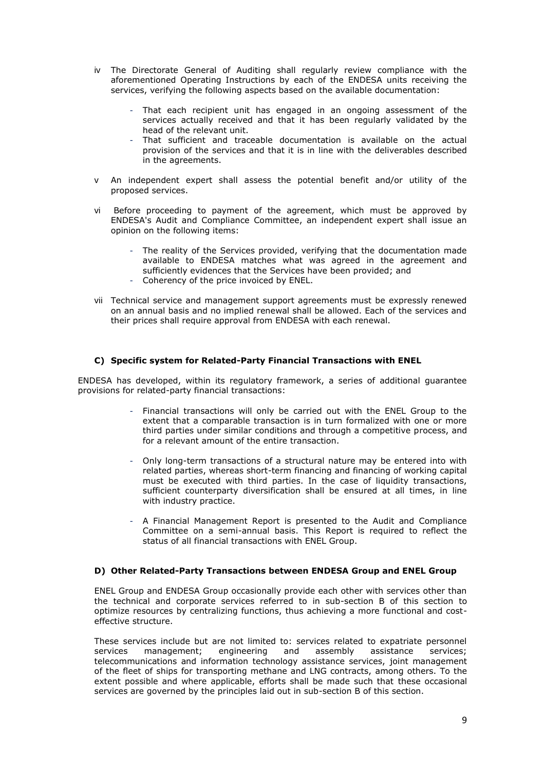- iv The Directorate General of Auditing shall regularly review compliance with the aforementioned Operating Instructions by each of the ENDESA units receiving the services, verifying the following aspects based on the available documentation:
	- That each recipient unit has engaged in an ongoing assessment of the services actually received and that it has been regularly validated by the head of the relevant unit.
	- That sufficient and traceable documentation is available on the actual provision of the services and that it is in line with the deliverables described in the agreements.
- v An independent expert shall assess the potential benefit and/or utility of the proposed services.
- vi Before proceeding to payment of the agreement, which must be approved by ENDESA's Audit and Compliance Committee, an independent expert shall issue an opinion on the following items:
	- The reality of the Services provided, verifying that the documentation made available to ENDESA matches what was agreed in the agreement and sufficiently evidences that the Services have been provided; and
	- Coherency of the price invoiced by ENEL.
- vii Technical service and management support agreements must be expressly renewed on an annual basis and no implied renewal shall be allowed. Each of the services and their prices shall require approval from ENDESA with each renewal.

# **C) Specific system for Related-Party Financial Transactions with ENEL**

ENDESA has developed, within its regulatory framework, a series of additional guarantee provisions for related-party financial transactions:

- Financial transactions will only be carried out with the ENEL Group to the extent that a comparable transaction is in turn formalized with one or more third parties under similar conditions and through a competitive process, and for a relevant amount of the entire transaction.
- Only long-term transactions of a structural nature may be entered into with related parties, whereas short-term financing and financing of working capital must be executed with third parties. In the case of liquidity transactions, sufficient counterparty diversification shall be ensured at all times, in line with industry practice.
- A Financial Management Report is presented to the Audit and Compliance Committee on a semi-annual basis. This Report is required to reflect the status of all financial transactions with ENEL Group.

# **D) Other Related-Party Transactions between ENDESA Group and ENEL Group**

ENEL Group and ENDESA Group occasionally provide each other with services other than the technical and corporate services referred to in sub-section B of this section to optimize resources by centralizing functions, thus achieving a more functional and costeffective structure.

These services include but are not limited to: services related to expatriate personnel<br>services management; engineering and assembly assistance services: services management; engineering and assembly assistance services; telecommunications and information technology assistance services, joint management of the fleet of ships for transporting methane and LNG contracts, among others. To the extent possible and where applicable, efforts shall be made such that these occasional services are governed by the principles laid out in sub-section B of this section.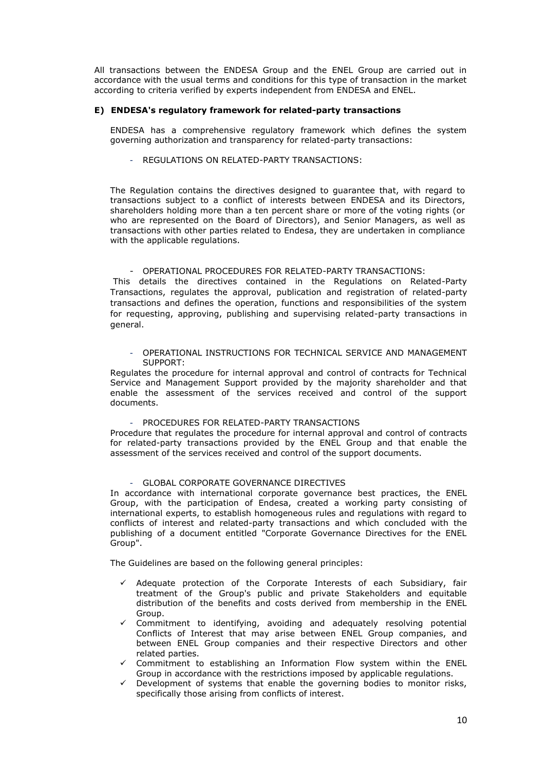All transactions between the ENDESA Group and the ENEL Group are carried out in accordance with the usual terms and conditions for this type of transaction in the market according to criteria verified by experts independent from ENDESA and ENEL.

#### **E) ENDESA's regulatory framework for related-party transactions**

ENDESA has a comprehensive regulatory framework which defines the system governing authorization and transparency for related-party transactions:

REGULATIONS ON RELATED-PARTY TRANSACTIONS:

The Regulation contains the directives designed to guarantee that, with regard to transactions subject to a conflict of interests between ENDESA and its Directors, shareholders holding more than a ten percent share or more of the voting rights (or who are represented on the Board of Directors), and Senior Managers, as well as transactions with other parties related to Endesa, they are undertaken in compliance with the applicable regulations.

#### - OPERATIONAL PROCEDURES FOR RELATED-PARTY TRANSACTIONS:

This details the directives contained in the Regulations on Related-Party Transactions, regulates the approval, publication and registration of related-party transactions and defines the operation, functions and responsibilities of the system for requesting, approving, publishing and supervising related-party transactions in general.

- OPERATIONAL INSTRUCTIONS FOR TECHNICAL SERVICE AND MANAGEMENT SUPPORT:

Regulates the procedure for internal approval and control of contracts for Technical Service and Management Support provided by the majority shareholder and that enable the assessment of the services received and control of the support documents.

PROCEDURES FOR RELATED-PARTY TRANSACTIONS

Procedure that regulates the procedure for internal approval and control of contracts for related-party transactions provided by the ENEL Group and that enable the assessment of the services received and control of the support documents.

#### GLOBAL CORPORATE GOVERNANCE DIRECTIVES

In accordance with international corporate governance best practices, the ENEL Group, with the participation of Endesa, created a working party consisting of international experts, to establish homogeneous rules and regulations with regard to conflicts of interest and related-party transactions and which concluded with the publishing of a document entitled "Corporate Governance Directives for the ENEL Group".

The Guidelines are based on the following general principles:

- Adequate protection of the Corporate Interests of each Subsidiary, fair treatment of the Group's public and private Stakeholders and equitable distribution of the benefits and costs derived from membership in the ENEL Group.
- Commitment to identifying, avoiding and adequately resolving potential Conflicts of Interest that may arise between ENEL Group companies, and between ENEL Group companies and their respective Directors and other related parties.
- ✓ Commitment to establishing an Information Flow system within the ENEL Group in accordance with the restrictions imposed by applicable regulations.
- Development of systems that enable the governing bodies to monitor risks, specifically those arising from conflicts of interest.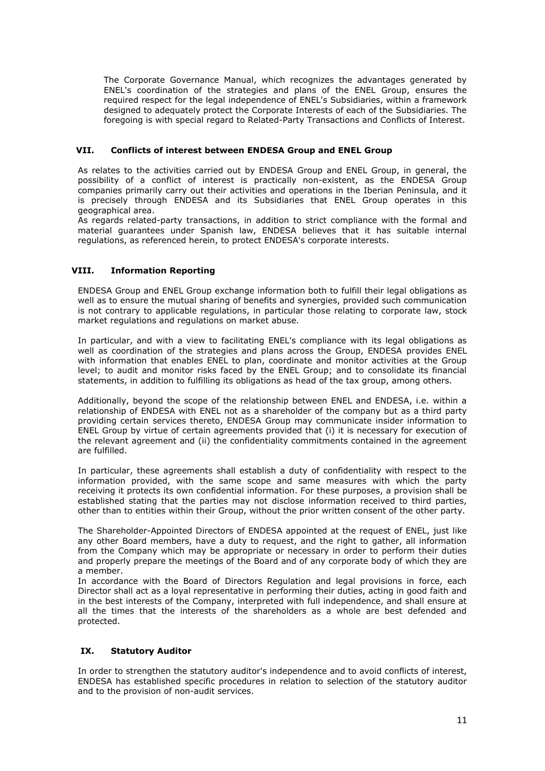The Corporate Governance Manual, which recognizes the advantages generated by ENEL's coordination of the strategies and plans of the ENEL Group, ensures the required respect for the legal independence of ENEL's Subsidiaries, within a framework designed to adequately protect the Corporate Interests of each of the Subsidiaries. The foregoing is with special regard to Related-Party Transactions and Conflicts of Interest.

## **VII. Conflicts of interest between ENDESA Group and ENEL Group**

As relates to the activities carried out by ENDESA Group and ENEL Group, in general, the possibility of a conflict of interest is practically non-existent, as the ENDESA Group companies primarily carry out their activities and operations in the Iberian Peninsula, and it is precisely through ENDESA and its Subsidiaries that ENEL Group operates in this geographical area.

As regards related-party transactions, in addition to strict compliance with the formal and material guarantees under Spanish law, ENDESA believes that it has suitable internal regulations, as referenced herein, to protect ENDESA's corporate interests.

# **VIII. Information Reporting**

ENDESA Group and ENEL Group exchange information both to fulfill their legal obligations as well as to ensure the mutual sharing of benefits and synergies, provided such communication is not contrary to applicable regulations, in particular those relating to corporate law, stock market regulations and regulations on market abuse.

In particular, and with a view to facilitating ENEL's compliance with its legal obligations as well as coordination of the strategies and plans across the Group, ENDESA provides ENEL with information that enables ENEL to plan, coordinate and monitor activities at the Group level; to audit and monitor risks faced by the ENEL Group; and to consolidate its financial statements, in addition to fulfilling its obligations as head of the tax group, among others.

Additionally, beyond the scope of the relationship between ENEL and ENDESA, i.e. within a relationship of ENDESA with ENEL not as a shareholder of the company but as a third party providing certain services thereto, ENDESA Group may communicate insider information to ENEL Group by virtue of certain agreements provided that (i) it is necessary for execution of the relevant agreement and (ii) the confidentiality commitments contained in the agreement are fulfilled.

In particular, these agreements shall establish a duty of confidentiality with respect to the information provided, with the same scope and same measures with which the party receiving it protects its own confidential information. For these purposes, a provision shall be established stating that the parties may not disclose information received to third parties, other than to entities within their Group, without the prior written consent of the other party.

The Shareholder-Appointed Directors of ENDESA appointed at the request of ENEL, just like any other Board members, have a duty to request, and the right to gather, all information from the Company which may be appropriate or necessary in order to perform their duties and properly prepare the meetings of the Board and of any corporate body of which they are a member.

In accordance with the Board of Directors Regulation and legal provisions in force, each Director shall act as a loyal representative in performing their duties, acting in good faith and in the best interests of the Company, interpreted with full independence, and shall ensure at all the times that the interests of the shareholders as a whole are best defended and protected.

# **IX. Statutory Auditor**

In order to strengthen the statutory auditor's independence and to avoid conflicts of interest, ENDESA has established specific procedures in relation to selection of the statutory auditor and to the provision of non-audit services.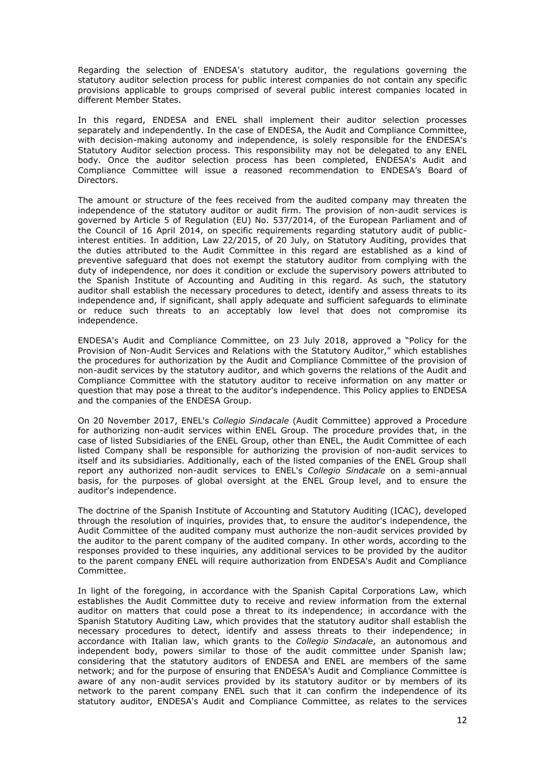Regarding the selection of ENDESA's statutory auditor, the regulations governing the statutory auditor selection process for public interest companies do not contain any specific provisions applicable to groups comprised of several public interest companies located in different Member States.

In this regard, ENDESA and ENEL shall implement their auditor selection processes separately and independently. In the case of ENDESA, the Audit and Compliance Committee, with decision-making autonomy and independence, is solely responsible for the ENDESA's Statutory Auditor selection process. This responsibility may not be delegated to any ENEL body. Once the auditor selection process has been completed, ENDESA's Audit and Compliance Committee will issue a reasoned recommendation to ENDESA's Board of Directors.

The amount or structure of the fees received from the audited company may threaten the independence of the statutory auditor or audit firm. The provision of non-audit services is governed by Article 5 of Regulation (EU) No. 537/2014, of the European Parliament and of the Council of 16 April 2014, on specific requirements regarding statutory audit of publicinterest entities. In addition, Law 22/2015, of 20 July, on Statutory Auditing, provides that the duties attributed to the Audit Committee in this regard are established as a kind of preventive safeguard that does not exempt the statutory auditor from complying with the duty of independence, nor does it condition or exclude the supervisory powers attributed to the Spanish Institute of Accounting and Auditing in this regard. As such, the statutory auditor shall establish the necessary procedures to detect, identify and assess threats to its independence and, if significant, shall apply adequate and sufficient safeguards to eliminate or reduce such threats to an acceptably low level that does not compromise its independence.

ENDESA's Audit and Compliance Committee, on 23 July 2018, approved a "Policy for the Provision of Non-Audit Services and Relations with the Statutory Auditor," which establishes the procedures for authorization by the Audit and Compliance Committee of the provision of non-audit services by the statutory auditor, and which governs the relations of the Audit and Compliance Committee with the statutory auditor to receive information on any matter or question that may pose a threat to the auditor's independence. This Policy applies to ENDESA and the companies of the ENDESA Group.

On 20 November 2017, ENEL's *Collegio Sindacale* (Audit Committee) approved a Procedure for authorizing non-audit services within ENEL Group. The procedure provides that, in the case of listed Subsidiaries of the ENEL Group, other than ENEL, the Audit Committee of each listed Company shall be responsible for authorizing the provision of non-audit services to itself and its subsidiaries. Additionally, each of the listed companies of the ENEL Group shall report any authorized non-audit services to ENEL's *Collegio Sindacale* on a semi-annual basis, for the purposes of global oversight at the ENEL Group level, and to ensure the auditor's independence.

The doctrine of the Spanish Institute of Accounting and Statutory Auditing (ICAC), developed through the resolution of inquiries, provides that, to ensure the auditor's independence, the Audit Committee of the audited company must authorize the non-audit services provided by the auditor to the parent company of the audited company. In other words, according to the responses provided to these inquiries, any additional services to be provided by the auditor to the parent company ENEL will require authorization from ENDESA's Audit and Compliance Committee.

In light of the foregoing, in accordance with the Spanish Capital Corporations Law, which establishes the Audit Committee duty to receive and review information from the external auditor on matters that could pose a threat to its independence; in accordance with the Spanish Statutory Auditing Law, which provides that the statutory auditor shall establish the necessary procedures to detect, identify and assess threats to their independence; in accordance with Italian law, which grants to the *Collegio Sindacale*, an autonomous and independent body, powers similar to those of the audit committee under Spanish law; considering that the statutory auditors of ENDESA and ENEL are members of the same network; and for the purpose of ensuring that ENDESA's Audit and Compliance Committee is aware of any non-audit services provided by its statutory auditor or by members of its network to the parent company ENEL such that it can confirm the independence of its statutory auditor, ENDESA's Audit and Compliance Committee, as relates to the services